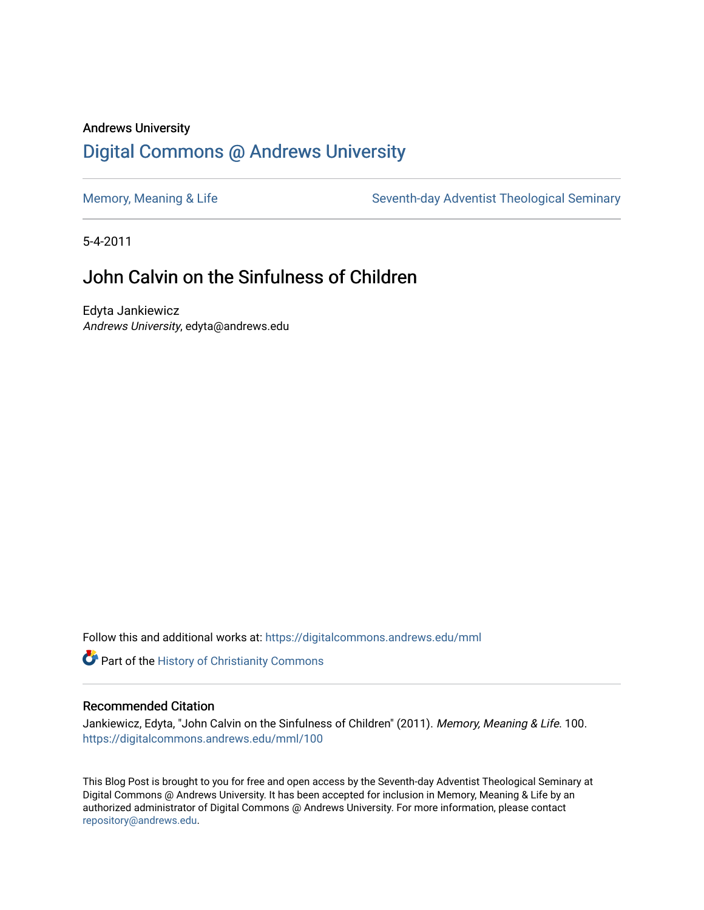# Andrews University [Digital Commons @ Andrews University](https://digitalcommons.andrews.edu/)

[Memory, Meaning & Life](https://digitalcommons.andrews.edu/mml) Seventh-day Adventist Theological Seminary

5-4-2011

# John Calvin on the Sinfulness of Children

Edyta Jankiewicz Andrews University, edyta@andrews.edu

Follow this and additional works at: [https://digitalcommons.andrews.edu/mml](https://digitalcommons.andrews.edu/mml?utm_source=digitalcommons.andrews.edu%2Fmml%2F100&utm_medium=PDF&utm_campaign=PDFCoverPages) 

**Part of the History of Christianity Commons** 

#### Recommended Citation

Jankiewicz, Edyta, "John Calvin on the Sinfulness of Children" (2011). Memory, Meaning & Life. 100. [https://digitalcommons.andrews.edu/mml/100](https://digitalcommons.andrews.edu/mml/100?utm_source=digitalcommons.andrews.edu%2Fmml%2F100&utm_medium=PDF&utm_campaign=PDFCoverPages) 

This Blog Post is brought to you for free and open access by the Seventh-day Adventist Theological Seminary at Digital Commons @ Andrews University. It has been accepted for inclusion in Memory, Meaning & Life by an authorized administrator of Digital Commons @ Andrews University. For more information, please contact [repository@andrews.edu](mailto:repository@andrews.edu).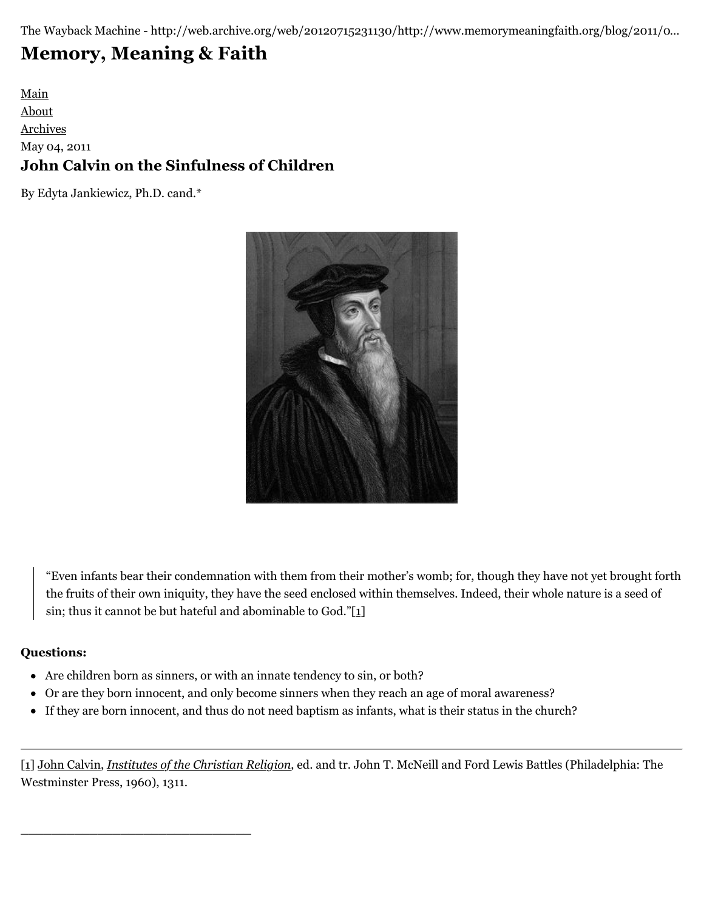The Wayback Machine - http://web.archive.org/web/20120715231130/http://www.memorymeaningfaith.org/blog/2011/0…

# **[Memory, Meaning & Faith](http://web.archive.org/web/20120715231130/http://www.memorymeaningfaith.org/blog/)**

[Main](http://web.archive.org/web/20120715231130/http://www.memorymeaningfaith.org/blog) [About](http://web.archive.org/web/20120715231130/http://www.memorymeaningfaith.org/blog/about.html) [Archives](http://web.archive.org/web/20120715231130/http://www.memorymeaningfaith.org/blog/archives.html) May 04, 2011 **John Calvin on the Sinfulness of Children**

By Edyta Jankiewicz, Ph.D. cand.\*



"Even infants bear their condemnation with them from their mother's womb; for, though they have not yet brought forth the fruits of their own iniquity, they have the seed enclosed within themselves. Indeed, their whole nature is a seed of sin; thus it cannot be but hateful and abominable to God." $[1]$ 

# **Questions:**

\_\_\_\_\_\_\_\_\_\_\_\_\_\_\_\_\_\_\_\_\_\_\_\_\_\_\_\_\_\_

- Are children born as sinners, or with an innate tendency to sin, or both?
- Or are they born innocent, and only become sinners when they reach an age of moral awareness?
- If they are born innocent, and thus do not need baptism as infants, what is their status in the church?

[\[1\]](http://web.archive.org/web/20120715231130/http://www.memorymeaningfaith.org/blog/2011/05/are-children-born-as-sinners.html#_ftnref) [John Calvin,](http://web.archive.org/web/20120715231130/http://en.wikipedia.org/wiki/John_calvin) *[Institutes of the Christian Religion](http://web.archive.org/web/20120715231130/http://www.amazon.com/Calvin-Institutes-Christian-Religion-Set/dp/0664220282/ref=sr_1_1?ie=UTF8&qid=1304553117&sr=8-1),* ed. and tr. John T. McNeill and Ford Lewis Battles (Philadelphia: The Westminster Press, 1960), 1311.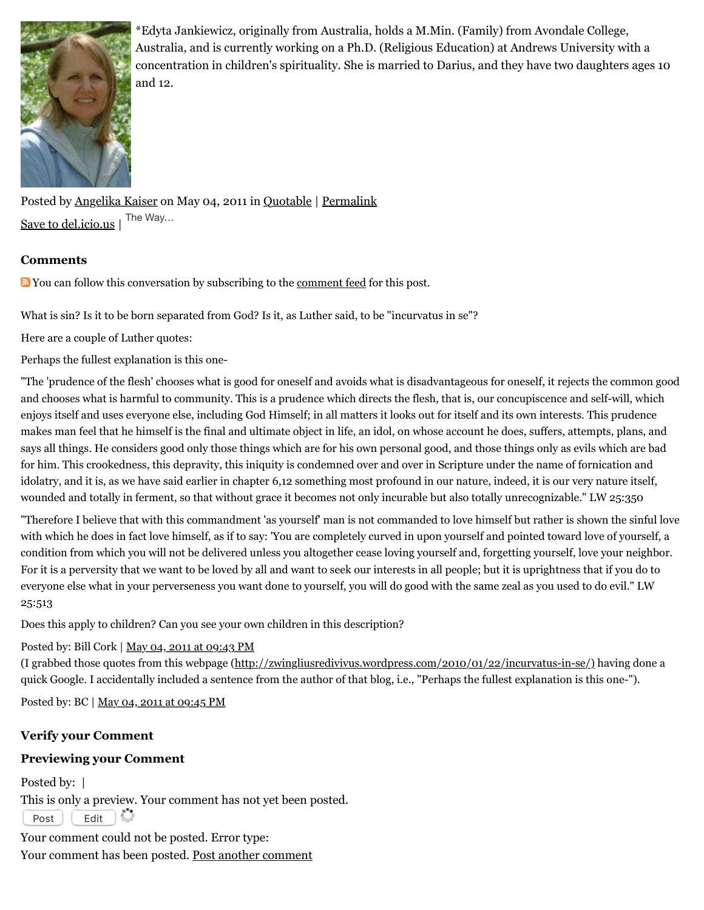

\*Edyta Jankiewicz, originally from Australia, holds a M.Min. (Family) from Avondale College, Australia, and is currently working on a Ph.D. (Religious Education) at Andrews University with a concentration in children's spirituality. She is married to Darius, and they have two daughters ages 10 and 12.

Posted by [Angelika Kaiser](http://web.archive.org/web/20120715231130/http://profile.typepad.com/angelika1) on May 04, 2011 in [Quotable](http://web.archive.org/web/20120715231130/http://www.memorymeaningfaith.org/blog/sources/) | [Permalink](http://web.archive.org/web/20120715231130/http://www.memorymeaningfaith.org/blog/2011/05/are-children-born-as-sinners.html) [Save to del.icio.us](http://web.archive.org/web/20120715231130/http://del.icio.us/post) | The Way...

# **Comments**

**Not** You can follow this conversation by subscribing to the <u>comment feed</u> for this post.

What is sin? Is it to be born separated from God? Is it, as Luther said, to be "incurvatus in se"?

Here are a couple of Luther quotes:

Perhaps the fullest explanation is this one-

"The 'prudence of the flesh' chooses what is good for oneself and avoids what is disadvantageous for oneself, it rejects the common good and chooses what is harmful to community. This is a prudence which directs the flesh, that is, our concupiscence and self-will, which enjoys itself and uses everyone else, including God Himself; in all matters it looks out for itself and its own interests. This prudence makes man feel that he himself is the final and ultimate object in life, an idol, on whose account he does, suffers, attempts, plans, and says all things. He considers good only those things which are for his own personal good, and those things only as evils which are bad for him. This crookedness, this depravity, this iniquity is condemned over and over in Scripture under the name of fornication and idolatry, and it is, as we have said earlier in chapter 6,12 something most profound in our nature, indeed, it is our very nature itself, wounded and totally in ferment, so that without grace it becomes not only incurable but also totally unrecognizable." LW 25:350

"Therefore I believe that with this commandment 'as yourself' man is not commanded to love himself but rather is shown the sinful love with which he does in fact love himself, as if to say: 'You are completely curved in upon yourself and pointed toward love of yourself, a condition from which you will not be delivered unless you altogether cease loving yourself and, forgetting yourself, love your neighbor. For it is a perversity that we want to be loved by all and want to seek our interests in all people; but it is uprightness that if you do to everyone else what in your perverseness you want done to yourself, you will do good with the same zeal as you used to do evil." LW 25:513

Does this apply to children? Can you see your own children in this description?

## Posted by: Bill Cork | [May 04, 2011 at 09:43 PM](http://web.archive.org/web/20120715231130/http://www.memorymeaningfaith.org/blog/2011/05/are-children-born-as-sinners.html?cid=6a01287656f488970c0154321f0997970c#comment-6a01287656f488970c0154321f0997970c)

(I grabbed those quotes from this webpage [\(http://zwingliusredivivus.wordpress.com/2010/01/22/incurvatus-in-se/\)](http://web.archive.org/web/20120715231130/http://zwingliusredivivus.wordpress.com/2010/01/22/incurvatus-in-se/)) having done a quick Google. I accidentally included a sentence from the author of that blog, i.e., "Perhaps the fullest explanation is this one-").

Posted by: BC | [May 04, 2011 at 09:45 PM](http://web.archive.org/web/20120715231130/http://www.memorymeaningfaith.org/blog/2011/05/are-children-born-as-sinners.html?cid=6a01287656f488970c014e883fb1a4970d#comment-6a01287656f488970c014e883fb1a4970d)

## **Verify your Comment**

## **Previewing your Comment**

Posted by:  $\vert$ This is only a preview. Your comment has not yet been posted.

Post Edit

Your comment could not be posted. Error type: Your comment has been posted. [Post another comment](javascript:void%200;)